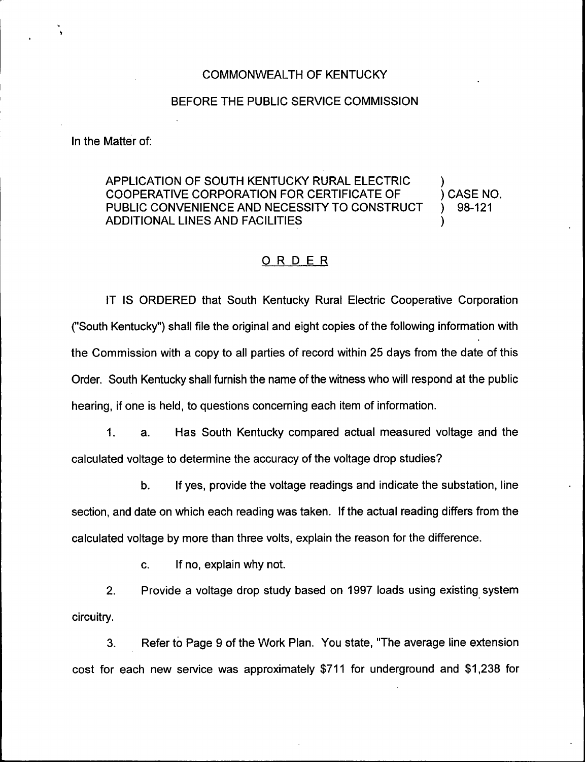#### COMMONWEALTH OF KENTUCKY

#### BEFORE THE PUBLIC SERVICE COMMISSION

In the Matter of:

# APPLICATION OF SOUTH KENTUCKY RURAL ELECTRIC  $\qquad$ )<br>COOPERATIVE CORPORATION FOR CERTIFICATE OF  $\qquad$ ) CASE NO. COOPERATIVE CORPORATION FOR CERTIFICATE OF (CASE NO. 2015) CASE NO.<br>PUBLIC CONVENIENCE AND NECESSITY TO CONSTRUCT(1) PUBLIC CONVENIENCE AND NECESSITY TO CONSTRUCT ) ADDITIONAL LINES AND FACILITIES )

### ORDER

IT IS ORDERED that South Kentucky Rural Electric Cooperative Corporation ("South Kentucky") shall file the original and eight copies of the following information wit<mark>l</mark> the Commission with a copy to all parties of record within 25 days from the date of this Order. South Kentucky shall furnish the name of the witness who will respond at the public hearing, if one is held, to questions concerning each item of information.

1. a. Has South Kentucky compared actual measured voltage and the calculated voltage to determine the accuracy of the voltage drop studies'.

If yes, provide the voltage readings and indicate the substation, line b. section, and date on which each reading was taken. If the actual reading differs from the calculated voltage by more than three volts, explain the reason for the difference.

c. If no, explain why not.

2. Provide a voltage drop study based on 1997 loads using existing system circuitry.

3. Refer to Page 9 of the Work Plan. You state, "The average line extension cost for each new service was approximately \$711 for underground and \$1,238 for